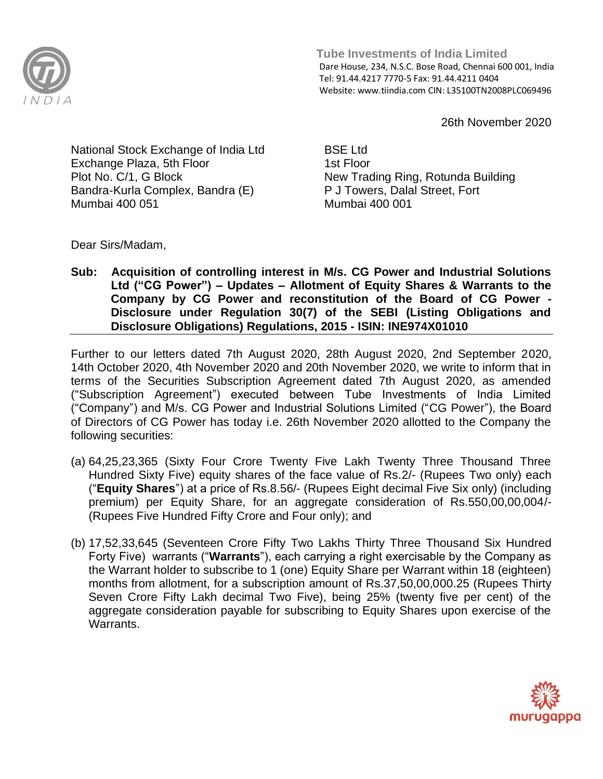

 **Tube Investments of India Limited**  Dare House, 234, N.S.C. Bose Road, Chennai 600 001, India Tel: 91.44.4217 7770-5 Fax: 91.44.4211 0404 Website: www.tiindia.com CIN: L35100TN2008PLC069496

26th November 2020

National Stock Exchange of India Ltd Exchange Plaza, 5th Floor Plot No. C/1, G Block Bandra-Kurla Complex, Bandra (E) Mumbai 400 051

BSE Ltd 1st Floor New Trading Ring, Rotunda Building P J Towers, Dalal Street, Fort Mumbai 400 001

Dear Sirs/Madam,

**Sub: Acquisition of controlling interest in M/s. CG Power and Industrial Solutions Ltd ("CG Power") – Updates – Allotment of Equity Shares & Warrants to the Company by CG Power and reconstitution of the Board of CG Power - Disclosure under Regulation 30(7) of the SEBI (Listing Obligations and Disclosure Obligations) Regulations, 2015 - ISIN: INE974X01010**

Further to our letters dated 7th August 2020, 28th August 2020, 2nd September 2020, 14th October 2020, 4th November 2020 and 20th November 2020, we write to inform that in terms of the Securities Subscription Agreement dated 7th August 2020, as amended ("Subscription Agreement") executed between Tube Investments of India Limited ("Company") and M/s. CG Power and Industrial Solutions Limited ("CG Power"), the Board of Directors of CG Power has today i.e. 26th November 2020 allotted to the Company the following securities:

- (a) 64,25,23,365 (Sixty Four Crore Twenty Five Lakh Twenty Three Thousand Three Hundred Sixty Five) equity shares of the face value of Rs.2/- (Rupees Two only) each ("**Equity Shares**") at a price of Rs.8.56/- (Rupees Eight decimal Five Six only) (including premium) per Equity Share, for an aggregate consideration of Rs.550,00,00,004/- (Rupees Five Hundred Fifty Crore and Four only); and
- (b) 17,52,33,645 (Seventeen Crore Fifty Two Lakhs Thirty Three Thousand Six Hundred Forty Five) warrants ("**Warrants**"), each carrying a right exercisable by the Company as the Warrant holder to subscribe to 1 (one) Equity Share per Warrant within 18 (eighteen) months from allotment, for a subscription amount of Rs.37,50,00,000.25 (Rupees Thirty Seven Crore Fifty Lakh decimal Two Five), being 25% (twenty five per cent) of the aggregate consideration payable for subscribing to Equity Shares upon exercise of the **Warrants**